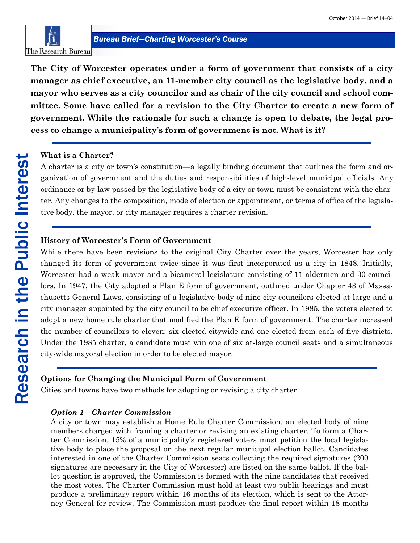

**The City of Worcester operates under a form of government that consists of a city manager as chief executive, an 11-member city council as the legislative body, and a mayor who serves as a city councilor and as chair of the city council and school committee. Some have called for a revision to the City Charter to create a new form of government. While the rationale for such a change is open to debate, the legal process to change a municipality's form of government is not. What is it?**

#### **What is a Charter?**

A charter is a city or town's constitution—a legally binding document that outlines the form and organization of government and the duties and responsibilities of high-level municipal officials. Any ordinance or by-law passed by the legislative body of a city or town must be consistent with the charter. Any changes to the composition, mode of election or appointment, or terms of office of the legislative body, the mayor, or city manager requires a charter revision.

## **History of Worcester's Form of Government**

While there have been revisions to the original City Charter over the years, Worcester has only changed its form of government twice since it was first incorporated as a city in 1848. Initially, Worcester had a weak mayor and a bicameral legislature consisting of 11 aldermen and 30 councilors. In 1947, the City adopted a Plan E form of government, outlined under Chapter 43 of Massachusetts General Laws, consisting of a legislative body of nine city councilors elected at large and a city manager appointed by the city council to be chief executive officer. In 1985, the voters elected to adopt a new home rule charter that modified the Plan E form of government. The charter increased the number of councilors to eleven: six elected citywide and one elected from each of five districts. Under the 1985 charter, a candidate must win one of six at-large council seats and a simultaneous city-wide mayoral election in order to be elected mayor.

#### **Options for Changing the Municipal Form of Government**

Cities and towns have two methods for adopting or revising a city charter.

#### *Option 1—Charter Commission*

A city or town may establish a Home Rule Charter Commission, an elected body of nine members charged with framing a charter or revising an existing charter. To form a Charter Commission, 15% of a municipality's registered voters must petition the local legislative body to place the proposal on the next regular municipal election ballot. Candidates interested in one of the Charter Commission seats collecting the required signatures (200 signatures are necessary in the City of Worcester) are listed on the same ballot. If the ballot question is approved, the Commission is formed with the nine candidates that received the most votes. The Charter Commission must hold at least two public hearings and must produce a preliminary report within 16 months of its election, which is sent to the Attorney General for review. The Commission must produce the final report within 18 months